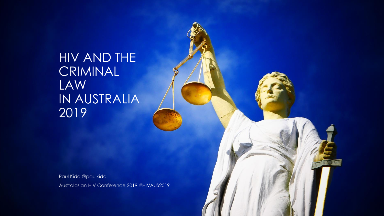HIV AND THE CRIMINAL LAW IN AUSTRALIA 2019

Paul Kidd @paulkidd Australasian HIV Conference 2019 #HIVAUS2019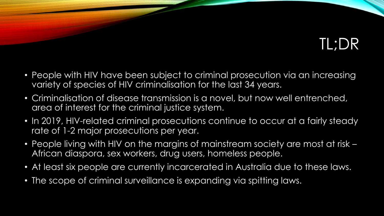## TL;DR

- People with HIV have been subject to criminal prosecution via an increasing variety of species of HIV criminalisation for the last 34 years.
- Criminalisation of disease transmission is a novel, but now well entrenched, area of interest for the criminal justice system.
- In 2019, HIV-related criminal prosecutions continue to occur at a fairly steady rate of 1-2 major prosecutions per year.
- People living with HIV on the margins of mainstream society are most at risk African diaspora, sex workers, drug users, homeless people.
- At least six people are currently incarcerated in Australia due to these laws.
- The scope of criminal surveillance is expanding via spitting laws.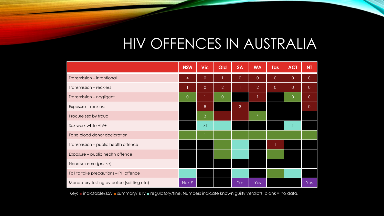## HIV OFFENCES IN AUSTRALIA

|                                            | <b>NSW</b>     | <b>Vic</b>     | Qld            | <b>SA</b>      | <b>WA</b>      | Tas            | <b>ACT</b>          | <b>NT</b>      |
|--------------------------------------------|----------------|----------------|----------------|----------------|----------------|----------------|---------------------|----------------|
| Transmission – intentional                 | 4              | $\overline{0}$ |                | $\overline{0}$ | $\overline{0}$ | $\overline{0}$ | $\overline{O}$      | $\overline{0}$ |
| Transmission - reckless                    | 1              | $\circ$        | $\overline{2}$ |                | $\overline{2}$ | $\theta$       | $\mathsf{O}\xspace$ | $\circ$        |
| Transmission - negligent                   | $\overline{0}$ | 1.             | $\overline{0}$ |                |                |                | $\overline{0}$      | $\overline{0}$ |
| Exposure - reckless                        |                | $8\phantom{1}$ |                | $\mathbf{3}$   |                |                |                     | $\circ$        |
| Procure sex by fraud                       |                | 3              |                |                | $\ast$         |                |                     |                |
| Sex work while HIV+                        |                | >1             |                |                |                |                |                     |                |
| False blood donor declaration              |                | $\mathbf{1}$   |                |                |                |                |                     |                |
| Transmission - public health offence       |                |                |                |                |                |                |                     |                |
| Exposure - public health offence           |                |                |                |                |                |                |                     |                |
| Nondisclosure (per se)                     |                |                |                |                |                |                |                     |                |
| Fail to take precautions - PH offence      |                |                |                |                |                |                |                     |                |
| Mandatory testing by police (spitting etc) | Next?          |                |                | Yes            | Yes            |                |                     | <b>Yes</b>     |

Key: ■ indictable/≥5y ■ summary/ ≥1y ■ regulatory/fine. Numbers indicate known guilty verdicts, blank = no data.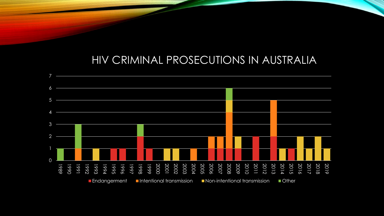## HIV CRIMINAL PROSECUTIONS IN AUSTRALIA